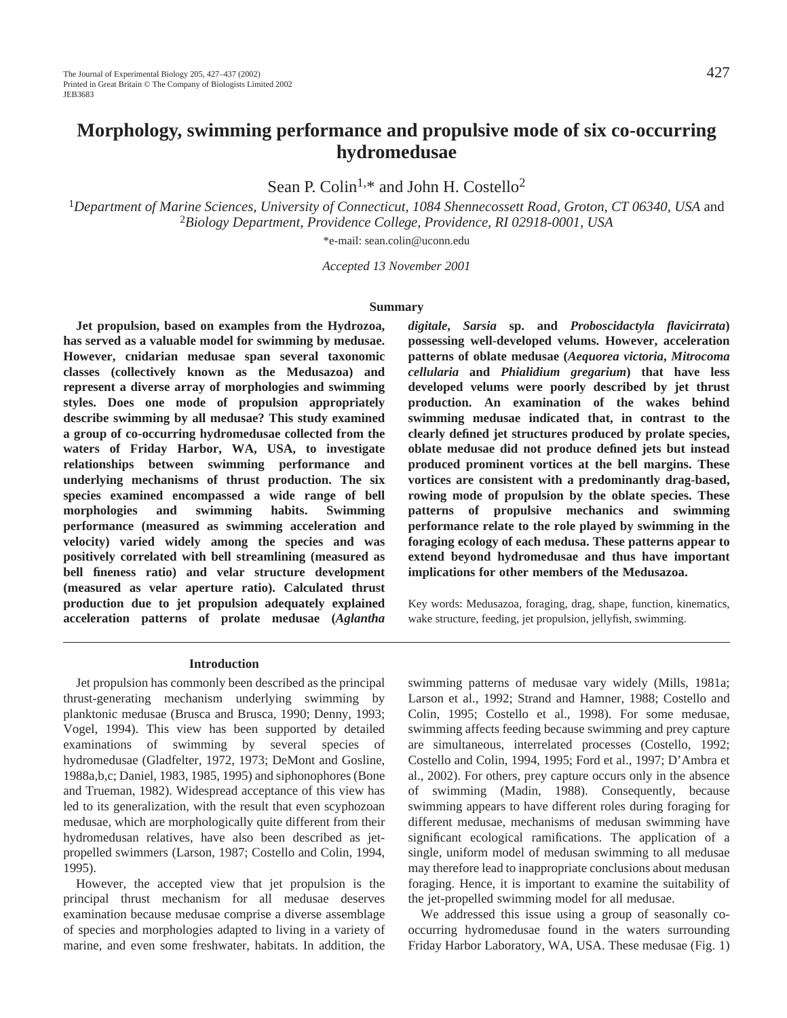# **Morphology, swimming performance and propulsive mode of six co-occurring hydromedusae**

Sean P. Colin<sup>1,\*</sup> and John H. Costello<sup>2</sup>

<sup>1</sup>*Department of Marine Sciences, University of Connecticut, 1084 Shennecossett Road, Groton, CT 06340, USA* and <sup>2</sup>*Biology Department, Providence College, Providence, RI 02918-0001, USA*

\*e-mail: sean.colin@uconn.edu

*Accepted 13 November 2001*

#### **Summary**

**Jet propulsion, based on examples from the Hydrozoa, has served as a valuable model for swimming by medusae. However, cnidarian medusae span several taxonomic classes (collectively known as the Medusazoa) and represent a diverse array of morphologies and swimming styles. Does one mode of propulsion appropriately describe swimming by all medusae? This study examined a group of co-occurring hydromedusae collected from the waters of Friday Harbor, WA, USA, to investigate relationships between swimming performance and underlying mechanisms of thrust production. The six species examined encompassed a wide range of bell morphologies and swimming habits. Swimming performance (measured as swimming acceleration and velocity) varied widely among the species and was positively correlated with bell streamlining (measured as bell fineness ratio) and velar structure development (measured as velar aperture ratio). Calculated thrust production due to jet propulsion adequately explained acceleration patterns of prolate medusae (***Aglantha*

*digitale***,** *Sarsia* **sp. and** *Proboscidactyla flavicirrata***) possessing well-developed velums. However, acceleration patterns of oblate medusae (***Aequorea victoria***,** *Mitrocoma cellularia* **and** *Phialidium gregarium***) that have less developed velums were poorly described by jet thrust production. An examination of the wakes behind swimming medusae indicated that, in contrast to the clearly defined jet structures produced by prolate species, oblate medusae did not produce defined jets but instead produced prominent vortices at the bell margins. These vortices are consistent with a predominantly drag-based, rowing mode of propulsion by the oblate species. These patterns of propulsive mechanics and swimming performance relate to the role played by swimming in the foraging ecology of each medusa. These patterns appear to extend beyond hydromedusae and thus have important implications for other members of the Medusazoa.**

Key words: Medusazoa, foraging, drag, shape, function, kinematics, wake structure, feeding, jet propulsion, jellyfish, swimming.

#### **Introduction**

Jet propulsion has commonly been described as the principal thrust-generating mechanism underlying swimming by planktonic medusae (Brusca and Brusca, 1990; Denny, 1993; Vogel, 1994). This view has been supported by detailed examinations of swimming by several species of hydromedusae (Gladfelter, 1972, 1973; DeMont and Gosline, 1988a,b,c; Daniel, 1983, 1985, 1995) and siphonophores (Bone and Trueman, 1982). Widespread acceptance of this view has led to its generalization, with the result that even scyphozoan medusae, which are morphologically quite different from their hydromedusan relatives, have also been described as jetpropelled swimmers (Larson, 1987; Costello and Colin, 1994, 1995).

However, the accepted view that jet propulsion is the principal thrust mechanism for all medusae deserves examination because medusae comprise a diverse assemblage of species and morphologies adapted to living in a variety of marine, and even some freshwater, habitats. In addition, the

swimming patterns of medusae vary widely (Mills, 1981a; Larson et al., 1992; Strand and Hamner, 1988; Costello and Colin, 1995; Costello et al., 1998). For some medusae, swimming affects feeding because swimming and prey capture are simultaneous, interrelated processes (Costello, 1992; Costello and Colin, 1994, 1995; Ford et al., 1997; D'Ambra et al., 2002). For others, prey capture occurs only in the absence of swimming (Madin, 1988). Consequently, because swimming appears to have different roles during foraging for different medusae, mechanisms of medusan swimming have significant ecological ramifications. The application of a single, uniform model of medusan swimming to all medusae may therefore lead to inappropriate conclusions about medusan foraging. Hence, it is important to examine the suitability of the jet-propelled swimming model for all medusae.

We addressed this issue using a group of seasonally cooccurring hydromedusae found in the waters surrounding Friday Harbor Laboratory, WA, USA. These medusae (Fig. 1)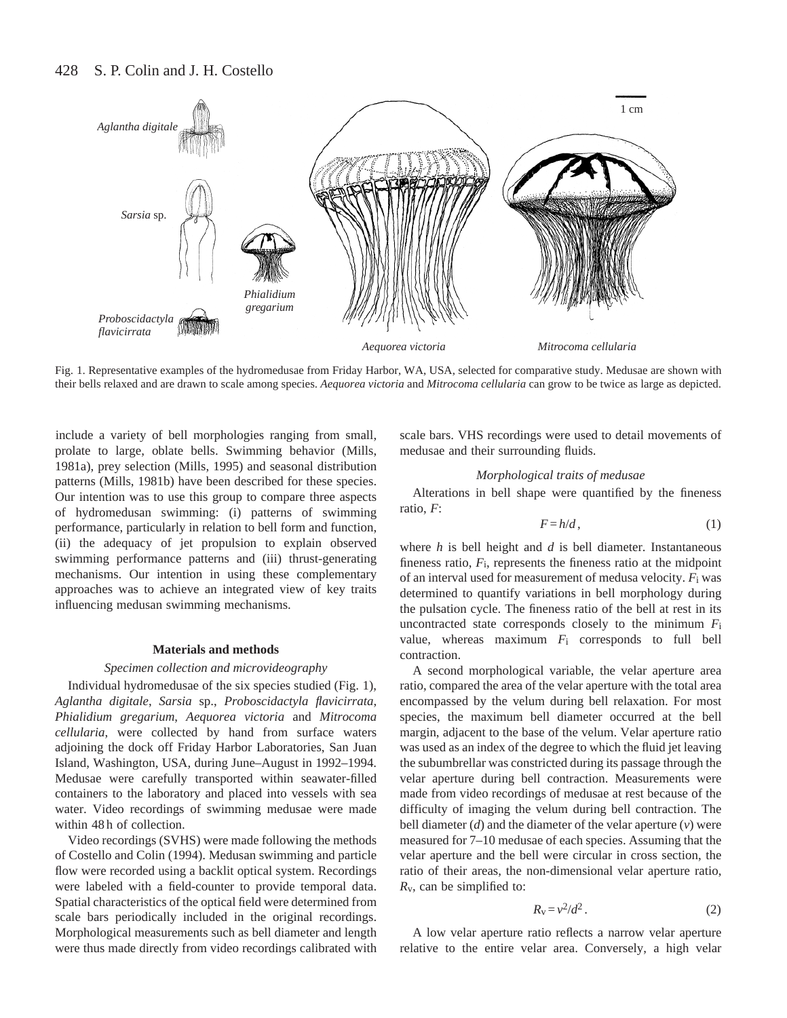#### 428 S. P. Colin and J. H. Costello



Fig. 1. Representative examples of the hydromedusae from Friday Harbor, WA, USA, selected for comparative study. Medusae are shown with their bells relaxed and are drawn to scale among species. *Aequorea victoria* and *Mitrocoma cellularia* can grow to be twice as large as depicted.

include a variety of bell morphologies ranging from small, prolate to large, oblate bells. Swimming behavior (Mills, 1981a), prey selection (Mills, 1995) and seasonal distribution patterns (Mills, 1981b) have been described for these species. Our intention was to use this group to compare three aspects of hydromedusan swimming: (i) patterns of swimming performance, particularly in relation to bell form and function, (ii) the adequacy of jet propulsion to explain observed swimming performance patterns and (iii) thrust-generating mechanisms. Our intention in using these complementary approaches was to achieve an integrated view of key traits influencing medusan swimming mechanisms.

#### **Materials and methods**

#### *Specimen collection and microvideography*

Individual hydromedusae of the six species studied (Fig. 1), *Aglantha digitale*, *Sarsia* sp., *Proboscidactyla flavicirrata*, *Phialidium gregarium*, *Aequorea victoria* and *Mitrocoma cellularia*, were collected by hand from surface waters adjoining the dock off Friday Harbor Laboratories, San Juan Island, Washington, USA, during June–August in 1992–1994. Medusae were carefully transported within seawater-filled containers to the laboratory and placed into vessels with sea water. Video recordings of swimming medusae were made within 48 h of collection.

Video recordings (SVHS) were made following the methods of Costello and Colin (1994). Medusan swimming and particle flow were recorded using a backlit optical system. Recordings were labeled with a field-counter to provide temporal data. Spatial characteristics of the optical field were determined from scale bars periodically included in the original recordings. Morphological measurements such as bell diameter and length were thus made directly from video recordings calibrated with scale bars. VHS recordings were used to detail movements of medusae and their surrounding fluids.

### *Morphological traits of medusae*

Alterations in bell shape were quantified by the fineness ratio, *F*:

$$
F = h/d, \tag{1}
$$

where *h* is bell height and *d* is bell diameter. Instantaneous fineness ratio, *F*i, represents the fineness ratio at the midpoint of an interval used for measurement of medusa velocity. *F*i was determined to quantify variations in bell morphology during the pulsation cycle. The fineness ratio of the bell at rest in its uncontracted state corresponds closely to the minimum *F*i value, whereas maximum *F*i corresponds to full bell contraction.

A second morphological variable, the velar aperture area ratio, compared the area of the velar aperture with the total area encompassed by the velum during bell relaxation. For most species, the maximum bell diameter occurred at the bell margin, adjacent to the base of the velum. Velar aperture ratio was used as an index of the degree to which the fluid jet leaving the subumbrellar was constricted during its passage through the velar aperture during bell contraction. Measurements were made from video recordings of medusae at rest because of the difficulty of imaging the velum during bell contraction. The bell diameter (*d*) and the diameter of the velar aperture (*v*) were measured for 7–10 medusae of each species. Assuming that the velar aperture and the bell were circular in cross section, the ratio of their areas, the non-dimensional velar aperture ratio, *R*v, can be simplified to:

$$
R_{\rm V} = v^2/d^2 \,. \tag{2}
$$

A low velar aperture ratio reflects a narrow velar aperture relative to the entire velar area. Conversely, a high velar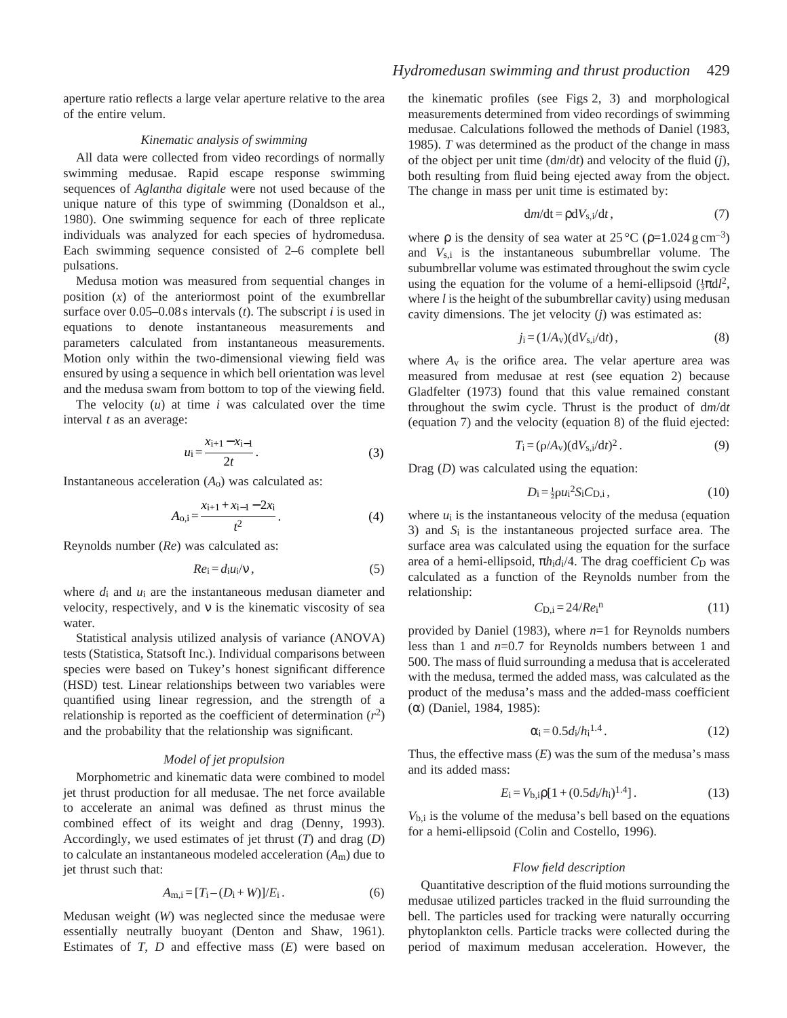aperture ratio reflects a large velar aperture relative to the area of the entire velum.

### *Kinematic analysis of swimming*

All data were collected from video recordings of normally swimming medusae. Rapid escape response swimming sequences of *Aglantha digitale* were not used because of the unique nature of this type of swimming (Donaldson et al., 1980). One swimming sequence for each of three replicate individuals was analyzed for each species of hydromedusa. Each swimming sequence consisted of 2–6 complete bell pulsations.

Medusa motion was measured from sequential changes in position (*x*) of the anteriormost point of the exumbrellar surface over 0.05–0.08 s intervals (*t*). The subscript *i* is used in equations to denote instantaneous measurements and parameters calculated from instantaneous measurements. Motion only within the two-dimensional viewing field was ensured by using a sequence in which bell orientation was level and the medusa swam from bottom to top of the viewing field.

The velocity (*u*) at time *i* was calculated over the time interval *t* as an average:

$$
u_{i} = \frac{x_{i+1} - x_{i-1}}{2t}.
$$
 (3)

Instantaneous acceleration (*A*o) was calculated as:

$$
A_{0,i} = \frac{x_{i+1} + x_{i-1} - 2x_i}{t^2}.
$$
 (4)

Reynolds number (*Re*) was calculated as:

$$
Re_i = d_i u_i / v \,, \tag{5}
$$

where  $d_i$  and  $u_i$  are the instantaneous medusan diameter and velocity, respectively, and  $\nu$  is the kinematic viscosity of sea water.

Statistical analysis utilized analysis of variance (ANOVA) tests (Statistica, Statsoft Inc.). Individual comparisons between species were based on Tukey's honest significant difference (HSD) test. Linear relationships between two variables were quantified using linear regression, and the strength of a relationship is reported as the coefficient of determination  $(r^2)$ and the probability that the relationship was significant.

#### *Model of jet propulsion*

Morphometric and kinematic data were combined to model jet thrust production for all medusae. The net force available to accelerate an animal was defined as thrust minus the combined effect of its weight and drag (Denny, 1993). Accordingly, we used estimates of jet thrust (*T*) and drag (*D*) to calculate an instantaneous modeled acceleration (*A*m) due to jet thrust such that:

$$
A_{m,i} = [T_i - (D_i + W)]/E_i.
$$
 (6)

Medusan weight (*W*) was neglected since the medusae were essentially neutrally buoyant (Denton and Shaw, 1961). Estimates of *T*, *D* and effective mass (*E*) were based on the kinematic profiles (see Figs 2, 3) and morphological measurements determined from video recordings of swimming medusae. Calculations followed the methods of Daniel (1983, 1985). *T* was determined as the product of the change in mass of the object per unit time (d*m*/d*t*) and velocity of the fluid (*j*), both resulting from fluid being ejected away from the object. The change in mass per unit time is estimated by:

$$
dm/dt = \rho dV_{s,i}/dt, \qquad (7)
$$

where  $\rho$  is the density of sea water at 25 °C ( $\rho$ =1.024 g cm<sup>-3</sup>) and *V*s,i is the instantaneous subumbrellar volume. The subumbrellar volume was estimated throughout the swim cycle using the equation for the volume of a hemi-ellipsoid  $(\frac{1}{3}\pi d)^2$ , where *l* is the height of the subumbrellar cavity) using medusan cavity dimensions. The jet velocity (*j*) was estimated as:

$$
j_i = (1/A_v)(dV_{s,i}/dt),\tag{8}
$$

where  $A<sub>v</sub>$  is the orifice area. The velar aperture area was measured from medusae at rest (see equation 2) because Gladfelter (1973) found that this value remained constant throughout the swim cycle. Thrust is the product of d*m*/d*t* (equation 7) and the velocity (equation 8) of the fluid ejected:

$$
T_{\mathbf{i}} = (\rho/A_{\mathbf{v}})(\mathrm{d}V_{\mathbf{s},\mathbf{i}}/\mathrm{d}t)^2. \tag{9}
$$

Drag (*D*) was calculated using the equation:

$$
D_{\rm i} = \frac{1}{2} \rho u_{\rm i}^2 S_{\rm i} C_{\rm D,i},\tag{10}
$$

where  $u_i$  is the instantaneous velocity of the medusa (equation 3) and *S*i is the instantaneous projected surface area. The surface area was calculated using the equation for the surface area of a hemi-ellipsoid,  $\pi h_i d_i/4$ . The drag coefficient  $C_D$  was calculated as a function of the Reynolds number from the relationship:

$$
C_{\mathrm{D,i}} = 24/Re_{\mathrm{i}}^{\mathrm{n}} \tag{11}
$$

provided by Daniel (1983), where *n*=1 for Reynolds numbers less than 1 and *n*=0.7 for Reynolds numbers between 1 and 500. The mass of fluid surrounding a medusa that is accelerated with the medusa, termed the added mass, was calculated as the product of the medusa's mass and the added-mass coefficient (α) (Daniel, 1984, 1985):

$$
\alpha_i = 0.5d_i/h_i^{1.4} \,. \tag{12}
$$

Thus, the effective mass  $(E)$  was the sum of the medusa's mass and its added mass:

$$
E_{\rm i} = V_{\rm b,i} \rho [1 + (0.5d_{\rm i}/h_{\rm i})^{1.4}]. \tag{13}
$$

*V*b,i is the volume of the medusa's bell based on the equations for a hemi-ellipsoid (Colin and Costello, 1996).

#### *Flow field description*

Quantitative description of the fluid motions surrounding the medusae utilized particles tracked in the fluid surrounding the bell. The particles used for tracking were naturally occurring phytoplankton cells. Particle tracks were collected during the period of maximum medusan acceleration. However, the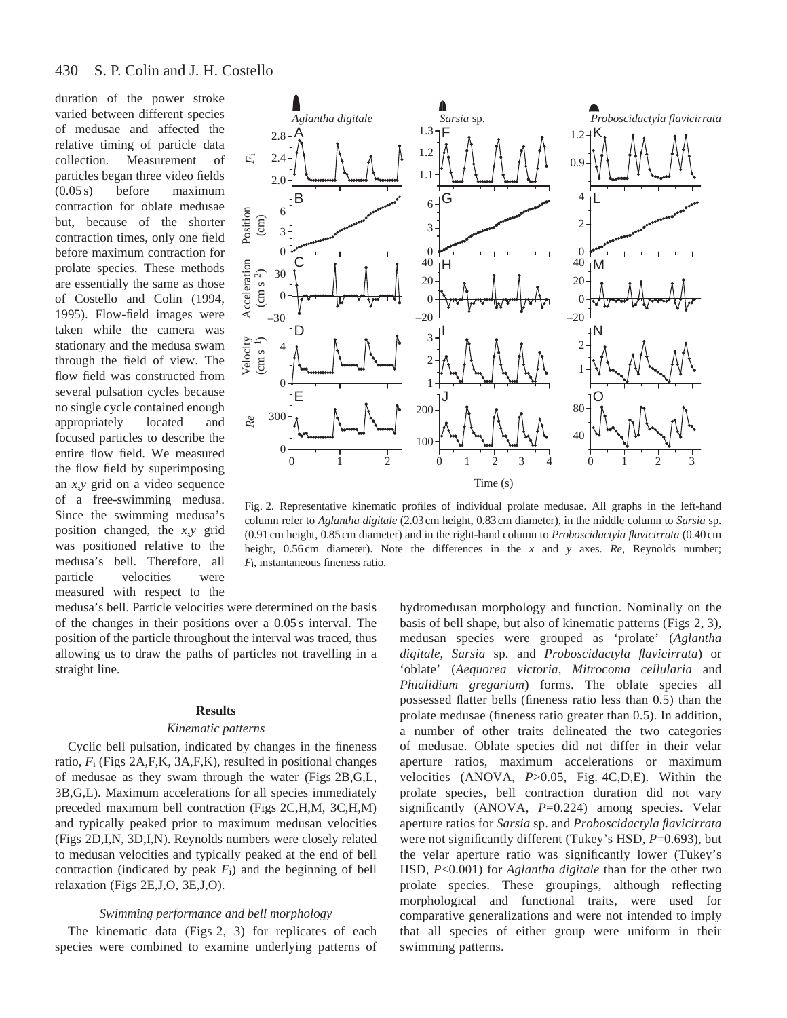duration of the power stroke varied between different species of medusae and affected the relative timing of particle data collection. Measurement of particles began three video fields (0.05 s) before maximum contraction for oblate medusae but, because of the shorter contraction times, only one field before maximum contraction for prolate species. These methods are essentially the same as those of Costello and Colin (1994, 1995). Flow-field images were taken while the camera was stationary and the medusa swam through the field of view. The flow field was constructed from several pulsation cycles because no single cycle contained enough appropriately located and focused particles to describe the entire flow field. We measured the flow field by superimposing an *x*,*y* grid on a video sequence of a free-swimming medusa. Since the swimming medusa's position changed, the *x*,*y* grid was positioned relative to the medusa's bell. Therefore, all particle velocities were measured with respect to the



Fig. 2. Representative kinematic profiles of individual prolate medusae. All graphs in the left-hand column refer to *Aglantha digitale* (2.03 cm height, 0.83 cm diameter), in the middle column to *Sarsia* sp. (0.91 cm height, 0.85 cm diameter) and in the right-hand column to *Proboscidactyla flavicirrata* (0.40 cm height, 0.56 cm diameter). Note the differences in the *x* and *y* axes. *Re*, Reynolds number; *F*i, instantaneous fineness ratio.

medusa's bell. Particle velocities were determined on the basis of the changes in their positions over a 0.05 s interval. The position of the particle throughout the interval was traced, thus allowing us to draw the paths of particles not travelling in a straight line.

#### **Results**

#### *Kinematic patterns*

Cyclic bell pulsation, indicated by changes in the fineness ratio, *F*i (Figs 2A,F,K, 3A,F,K), resulted in positional changes of medusae as they swam through the water (Figs 2B,G,L, 3B,G,L). Maximum accelerations for all species immediately preceded maximum bell contraction (Figs 2C,H,M, 3C,H,M) and typically peaked prior to maximum medusan velocities (Figs 2D,I,N, 3D,I,N). Reynolds numbers were closely related to medusan velocities and typically peaked at the end of bell contraction (indicated by peak *F*i) and the beginning of bell relaxation (Figs 2E,J,O, 3E,J,O).

### *Swimming performance and bell morphology*

The kinematic data (Figs 2, 3) for replicates of each species were combined to examine underlying patterns of hydromedusan morphology and function. Nominally on the basis of bell shape, but also of kinematic patterns (Figs 2, 3), medusan species were grouped as 'prolate' (*Aglantha digitale*, *Sarsia* sp. and *Proboscidactyla flavicirrata*) or 'oblate' (*Aequorea victoria*, *Mitrocoma cellularia* and *Phialidium gregarium*) forms. The oblate species all possessed flatter bells (fineness ratio less than 0.5) than the prolate medusae (fineness ratio greater than 0.5). In addition, a number of other traits delineated the two categories of medusae. Oblate species did not differ in their velar aperture ratios, maximum accelerations or maximum velocities (ANOVA, *P*>0.05, Fig. 4C,D,E). Within the prolate species, bell contraction duration did not vary significantly (ANOVA, P=0.224) among species. Velar aperture ratios for *Sarsia* sp. and *Proboscidactyla flavicirrata* were not significantly different (Tukey's HSD,  $P=0.693$ ), but the velar aperture ratio was significantly lower (Tukey's HSD, *P*<0.001) for *Aglantha digitale* than for the other two prolate species. These groupings, although reflecting morphological and functional traits, were used for comparative generalizations and were not intended to imply that all species of either group were uniform in their swimming patterns.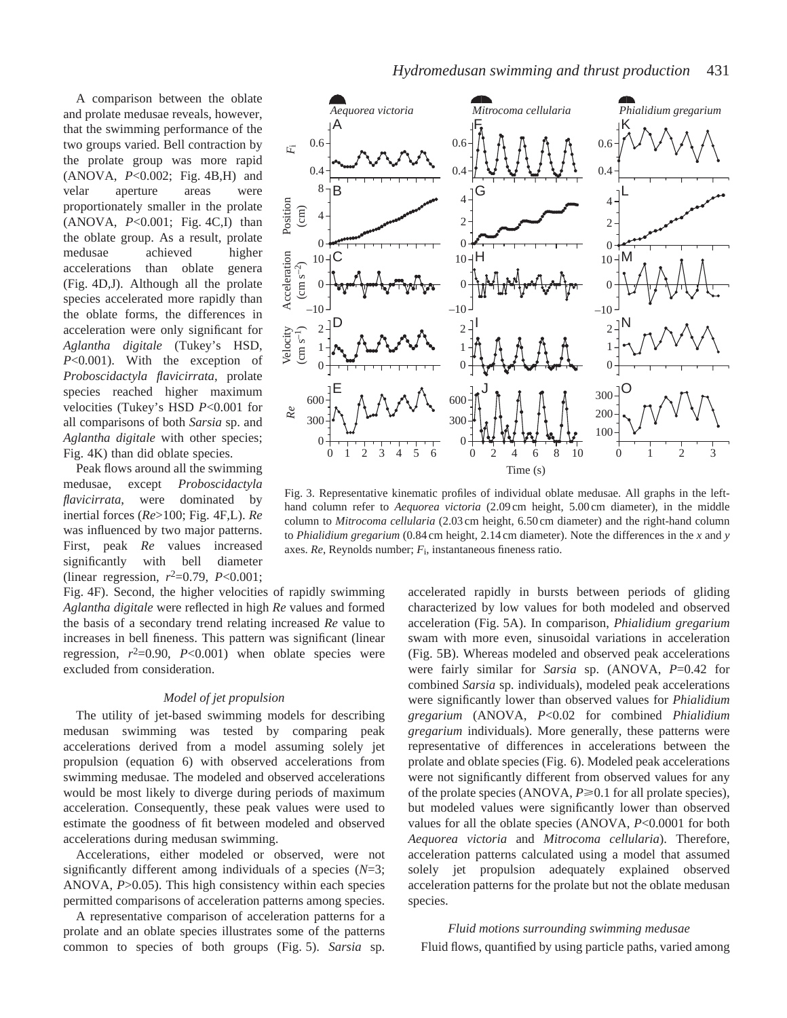A comparison between the oblate and prolate medusae reveals, however, that the swimming performance of the two groups varied. Bell contraction by the prolate group was more rapid (ANOVA, *P*<0.002; Fig. 4B,H) and velar aperture areas were proportionately smaller in the prolate (ANOVA, *P*<0.001; Fig. 4C,I) than the oblate group. As a result, prolate medusae achieved higher accelerations than oblate genera (Fig. 4D,J). Although all the prolate species accelerated more rapidly than the oblate forms, the differences in acceleration were only significant for *Aglantha digitale* (Tukey's HSD, *P*<0.001). With the exception of *Proboscidactyla flavicirrata*, prolate species reached higher maximum velocities (Tukey's HSD *P*<0.001 for all comparisons of both *Sarsia* sp. and *Aglantha digitale* with other species; Fig. 4K) than did oblate species.

Peak flows around all the swimming medusae, except *Proboscidactyla flavicirrata*, were dominated by inertial forces (*Re*>100; Fig. 4F,L). *Re* was influenced by two major patterns. First, peak *Re* values increased significantly with bell diameter (linear regression,  $r^2=0.79$ ,  $P<0.001$ ;

Fig. 4F). Second, the higher velocities of rapidly swimming *Aglantha digitale* were reflected in high *Re* values and formed the basis of a secondary trend relating increased *Re* value to increases in bell fineness. This pattern was significant (linear regression,  $r^2=0.90$ ,  $P<0.001$ ) when oblate species were excluded from consideration.

#### *Model of jet propulsion*

The utility of jet-based swimming models for describing medusan swimming was tested by comparing peak accelerations derived from a model assuming solely jet propulsion (equation 6) with observed accelerations from swimming medusae. The modeled and observed accelerations would be most likely to diverge during periods of maximum acceleration. Consequently, these peak values were used to estimate the goodness of fit between modeled and observed accelerations during medusan swimming.

Accelerations, either modeled or observed, were not significantly different among individuals of a species (*N*=3; ANOVA, *P*>0.05). This high consistency within each species permitted comparisons of acceleration patterns among species.

A representative comparison of acceleration patterns for a prolate and an oblate species illustrates some of the patterns common to species of both groups (Fig. 5). *Sarsia* sp.



Fig. 3. Representative kinematic profiles of individual oblate medusae. All graphs in the lefthand column refer to *Aequorea victoria* (2.09 cm height, 5.00 cm diameter), in the middle column to *Mitrocoma cellularia* (2.03 cm height, 6.50 cm diameter) and the right-hand column to *Phialidium gregarium* (0.84 cm height, 2.14 cm diameter). Note the differences in the *x* and *y* axes. *Re*, Reynolds number; *F*i, instantaneous fineness ratio.

accelerated rapidly in bursts between periods of gliding characterized by low values for both modeled and observed acceleration (Fig. 5A). In comparison, *Phialidium gregarium* swam with more even, sinusoidal variations in acceleration (Fig. 5B). Whereas modeled and observed peak accelerations were fairly similar for *Sarsia* sp. (ANOVA, *P*=0.42 for combined *Sarsia* sp. individuals), modeled peak accelerations were significantly lower than observed values for *Phialidium gregarium* (ANOVA, *P*<0.02 for combined *Phialidium gregarium* individuals). More generally, these patterns were representative of differences in accelerations between the prolate and oblate species (Fig. 6). Modeled peak accelerations were not significantly different from observed values for any of the prolate species (ANOVA,  $P \ge 0.1$  for all prolate species), but modeled values were significantly lower than observed values for all the oblate species (ANOVA, *P*<0.0001 for both *Aequorea victoria* and *Mitrocoma cellularia*). Therefore, acceleration patterns calculated using a model that assumed solely jet propulsion adequately explained observed acceleration patterns for the prolate but not the oblate medusan species.

*Fluid motions surrounding swimming medusae* Fluid flows, quantified by using particle paths, varied among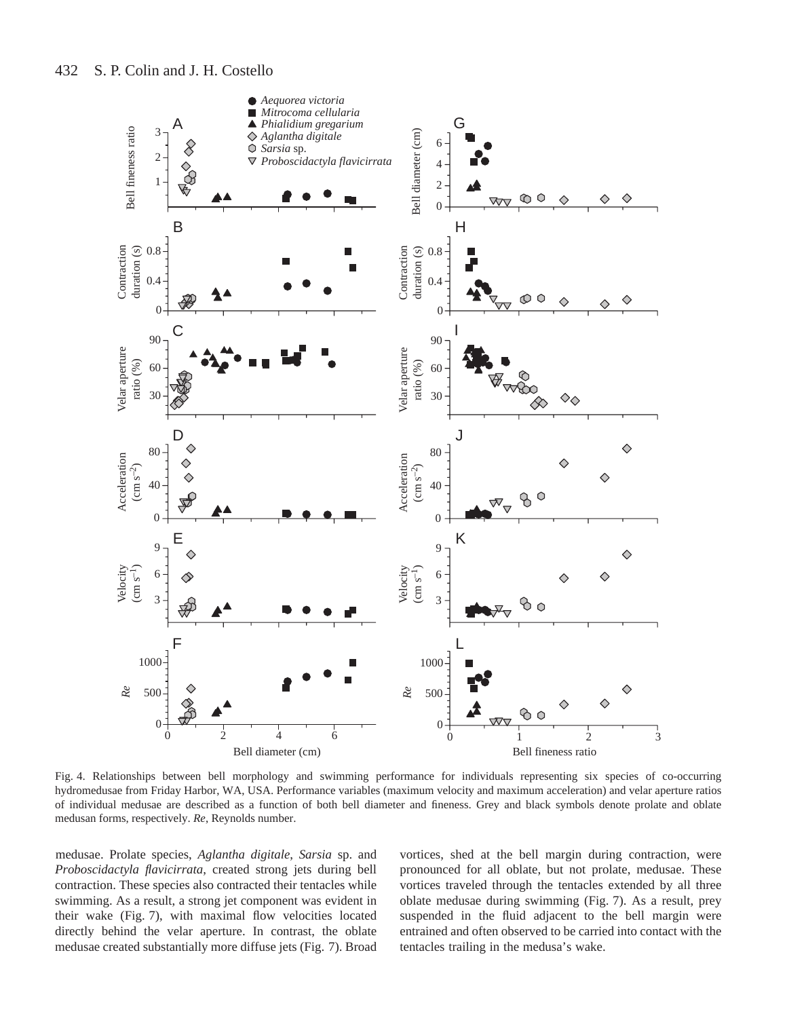

Fig. 4. Relationships between bell morphology and swimming performance for individuals representing six species of co-occurring hydromedusae from Friday Harbor, WA, USA. Performance variables (maximum velocity and maximum acceleration) and velar aperture ratios of individual medusae are described as a function of both bell diameter and fineness. Grey and black symbols denote prolate and oblate medusan forms, respectively. *Re*, Reynolds number.

medusae. Prolate species, *Aglantha digitale*, *Sarsia* sp. and *Proboscidactyla flavicirrata*, created strong jets during bell contraction. These species also contracted their tentacles while swimming. As a result, a strong jet component was evident in their wake (Fig. 7), with maximal flow velocities located directly behind the velar aperture. In contrast, the oblate medusae created substantially more diffuse jets (Fig. 7). Broad

vortices, shed at the bell margin during contraction, were pronounced for all oblate, but not prolate, medusae. These vortices traveled through the tentacles extended by all three oblate medusae during swimming (Fig. 7). As a result, prey suspended in the fluid adjacent to the bell margin were entrained and often observed to be carried into contact with the tentacles trailing in the medusa's wake.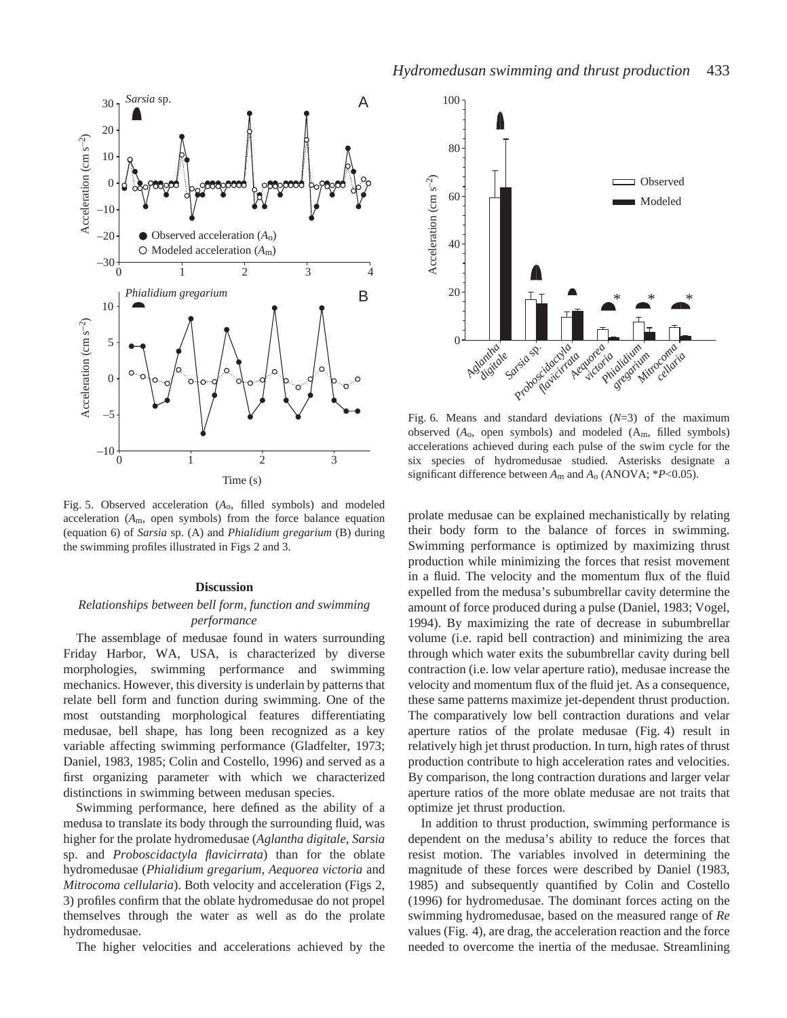

Fig. 5. Observed acceleration (*A*o, filled symbols) and modeled acceleration (*A*m, open symbols) from the force balance equation (equation 6) of *Sarsia* sp. (A) and *Phialidium gregarium* (B) during the swimming profiles illustrated in Figs 2 and 3.

#### **Discussion**

## *Relationships between bell form, function and swimming performance*

The assemblage of medusae found in waters surrounding Friday Harbor, WA, USA, is characterized by diverse morphologies, swimming performance and swimming mechanics. However, this diversity is underlain by patterns that relate bell form and function during swimming. One of the most outstanding morphological features differentiating medusae, bell shape, has long been recognized as a key variable affecting swimming performance (Gladfelter, 1973; Daniel, 1983, 1985; Colin and Costello, 1996) and served as a first organizing parameter with which we characterized distinctions in swimming between medusan species.

Swimming performance, here defined as the ability of a medusa to translate its body through the surrounding fluid, was higher for the prolate hydromedusae (*Aglantha digitale*, *Sarsia* sp. and *Proboscidactyla flavicirrata*) than for the oblate hydromedusae (*Phialidium gregarium*, *Aequorea victoria* and *Mitrocoma cellularia*). Both velocity and acceleration (Figs 2, 3) profiles confirm that the oblate hydromedusae do not propel themselves through the water as well as do the prolate hydromedusae.

The higher velocities and accelerations achieved by the



Fig. 6. Means and standard deviations (*N*=3) of the maximum observed (*A*o, open symbols) and modeled (Am, filled symbols) accelerations achieved during each pulse of the swim cycle for the six species of hydromedusae studied. Asterisks designate a significant difference between *A*m and *A*o (ANOVA; \**P*<0.05).

prolate medusae can be explained mechanistically by relating their body form to the balance of forces in swimming. Swimming performance is optimized by maximizing thrust production while minimizing the forces that resist movement in a fluid. The velocity and the momentum flux of the fluid expelled from the medusa's subumbrellar cavity determine the amount of force produced during a pulse (Daniel, 1983; Vogel, 1994). By maximizing the rate of decrease in subumbrellar volume (i.e. rapid bell contraction) and minimizing the area through which water exits the subumbrellar cavity during bell contraction (i.e. low velar aperture ratio), medusae increase the velocity and momentum flux of the fluid jet. As a consequence, these same patterns maximize jet-dependent thrust production. The comparatively low bell contraction durations and velar aperture ratios of the prolate medusae (Fig. 4) result in relatively high jet thrust production. In turn, high rates of thrust production contribute to high acceleration rates and velocities. By comparison, the long contraction durations and larger velar aperture ratios of the more oblate medusae are not traits that optimize jet thrust production.

In addition to thrust production, swimming performance is dependent on the medusa's ability to reduce the forces that resist motion. The variables involved in determining the magnitude of these forces were described by Daniel (1983, 1985) and subsequently quantified by Colin and Costello (1996) for hydromedusae. The dominant forces acting on the swimming hydromedusae, based on the measured range of *Re* values (Fig. 4), are drag, the acceleration reaction and the force needed to overcome the inertia of the medusae. Streamlining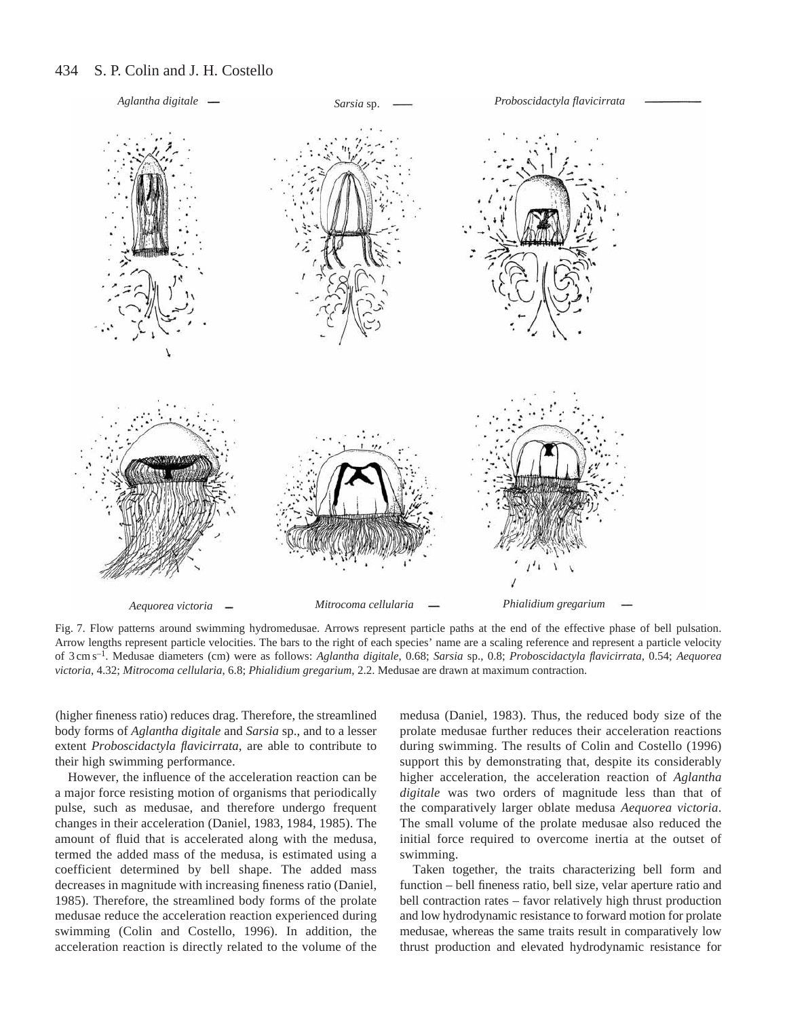#### 434 S. P. Colin and J. H. Costello



Fig. 7. Flow patterns around swimming hydromedusae. Arrows represent particle paths at the end of the effective phase of bell pulsation. Arrow lengths represent particle velocities. The bars to the right of each species' name are a scaling reference and represent a particle velocity of 3 cm s–1. Medusae diameters (cm) were as follows: *Aglantha digitale*, 0.68; *Sarsia* sp., 0.8; *Proboscidactyla flavicirrata*, 0.54; *Aequorea victoria*, 4.32; *Mitrocoma cellularia*, 6.8; *Phialidium gregarium*, 2.2. Medusae are drawn at maximum contraction.

(higher fineness ratio) reduces drag. Therefore, the streamlined body forms of *Aglantha digitale* and *Sarsia* sp., and to a lesser extent *Proboscidactyla flavicirrata*, are able to contribute to their high swimming performance.

However, the influence of the acceleration reaction can be a major force resisting motion of organisms that periodically pulse, such as medusae, and therefore undergo frequent changes in their acceleration (Daniel, 1983, 1984, 1985). The amount of fluid that is accelerated along with the medusa, termed the added mass of the medusa, is estimated using a coefficient determined by bell shape. The added mass decreases in magnitude with increasing fineness ratio (Daniel, 1985). Therefore, the streamlined body forms of the prolate medusae reduce the acceleration reaction experienced during swimming (Colin and Costello, 1996). In addition, the acceleration reaction is directly related to the volume of the

medusa (Daniel, 1983). Thus, the reduced body size of the prolate medusae further reduces their acceleration reactions during swimming. The results of Colin and Costello (1996) support this by demonstrating that, despite its considerably higher acceleration, the acceleration reaction of *Aglantha digitale* was two orders of magnitude less than that of the comparatively larger oblate medusa *Aequorea victoria*. The small volume of the prolate medusae also reduced the initial force required to overcome inertia at the outset of swimming.

Taken together, the traits characterizing bell form and function – bell fineness ratio, bell size, velar aperture ratio and bell contraction rates – favor relatively high thrust production and low hydrodynamic resistance to forward motion for prolate medusae, whereas the same traits result in comparatively low thrust production and elevated hydrodynamic resistance for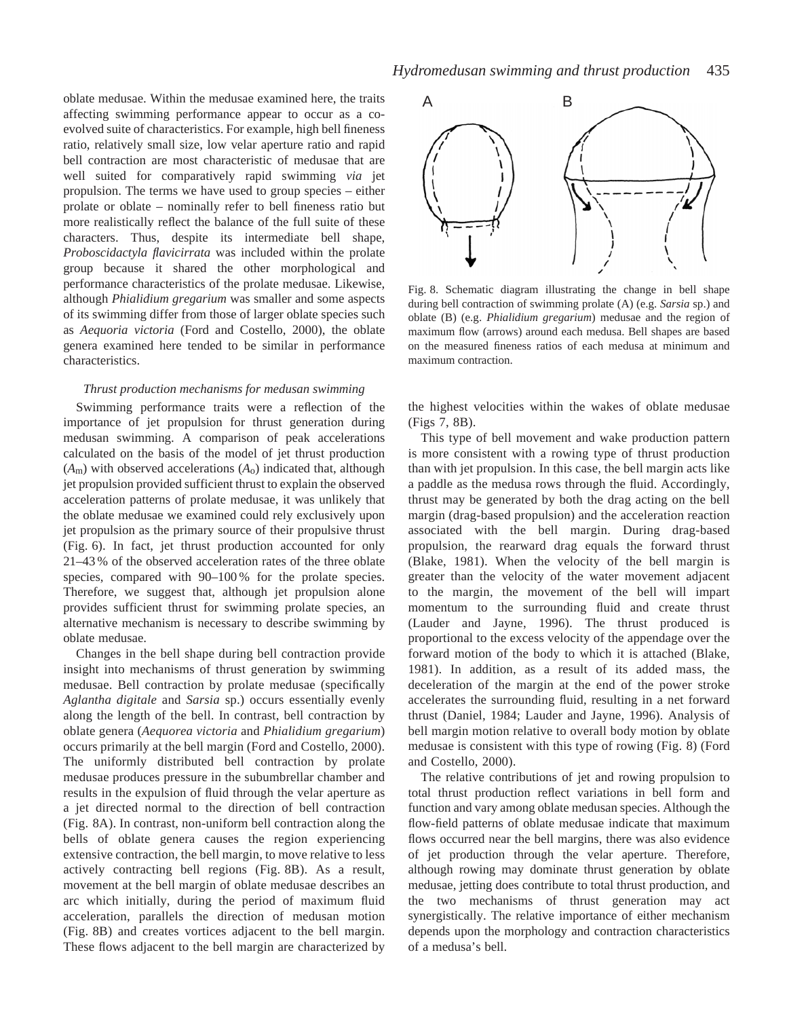oblate medusae. Within the medusae examined here, the traits affecting swimming performance appear to occur as a coevolved suite of characteristics. For example, high bell fineness ratio, relatively small size, low velar aperture ratio and rapid bell contraction are most characteristic of medusae that are well suited for comparatively rapid swimming *via* jet propulsion. The terms we have used to group species – either prolate or oblate – nominally refer to bell fineness ratio but more realistically reflect the balance of the full suite of these characters. Thus, despite its intermediate bell shape, *Proboscidactyla flavicirrata* was included within the prolate group because it shared the other morphological and performance characteristics of the prolate medusae. Likewise, although *Phialidium gregarium* was smaller and some aspects of its swimming differ from those of larger oblate species such as *Aequoria victoria* (Ford and Costello, 2000), the oblate genera examined here tended to be similar in performance characteristics.

### *Thrust production mechanisms for medusan swimming*

Swimming performance traits were a reflection of the importance of jet propulsion for thrust generation during medusan swimming. A comparison of peak accelerations calculated on the basis of the model of jet thrust production (*A*m) with observed accelerations (*A*o) indicated that, although jet propulsion provided sufficient thrust to explain the observed acceleration patterns of prolate medusae, it was unlikely that the oblate medusae we examined could rely exclusively upon jet propulsion as the primary source of their propulsive thrust (Fig. 6). In fact, jet thrust production accounted for only 21–43 % of the observed acceleration rates of the three oblate species, compared with 90–100% for the prolate species. Therefore, we suggest that, although jet propulsion alone provides sufficient thrust for swimming prolate species, an alternative mechanism is necessary to describe swimming by oblate medusae.

Changes in the bell shape during bell contraction provide insight into mechanisms of thrust generation by swimming medusae. Bell contraction by prolate medusae (specifically *Aglantha digitale* and *Sarsia* sp.) occurs essentially evenly along the length of the bell. In contrast, bell contraction by oblate genera (*Aequorea victoria* and *Phialidium gregarium*) occurs primarily at the bell margin (Ford and Costello, 2000). The uniformly distributed bell contraction by prolate medusae produces pressure in the subumbrellar chamber and results in the expulsion of fluid through the velar aperture as a jet directed normal to the direction of bell contraction (Fig. 8A). In contrast, non-uniform bell contraction along the bells of oblate genera causes the region experiencing extensive contraction, the bell margin, to move relative to less actively contracting bell regions (Fig. 8B). As a result, movement at the bell margin of oblate medusae describes an arc which initially, during the period of maximum fluid acceleration, parallels the direction of medusan motion (Fig. 8B) and creates vortices adjacent to the bell margin. These flows adjacent to the bell margin are characterized by



Fig. 8. Schematic diagram illustrating the change in bell shape during bell contraction of swimming prolate (A) (e.g. *Sarsia* sp.) and oblate (B) (e.g. *Phialidium gregarium*) medusae and the region of maximum flow (arrows) around each medusa. Bell shapes are based on the measured fineness ratios of each medusa at minimum and maximum contraction.

the highest velocities within the wakes of oblate medusae (Figs 7, 8B).

This type of bell movement and wake production pattern is more consistent with a rowing type of thrust production than with jet propulsion. In this case, the bell margin acts like a paddle as the medusa rows through the fluid. Accordingly, thrust may be generated by both the drag acting on the bell margin (drag-based propulsion) and the acceleration reaction associated with the bell margin. During drag-based propulsion, the rearward drag equals the forward thrust (Blake, 1981). When the velocity of the bell margin is greater than the velocity of the water movement adjacent to the margin, the movement of the bell will impart momentum to the surrounding fluid and create thrust (Lauder and Jayne, 1996). The thrust produced is proportional to the excess velocity of the appendage over the forward motion of the body to which it is attached (Blake, 1981). In addition, as a result of its added mass, the deceleration of the margin at the end of the power stroke accelerates the surrounding fluid, resulting in a net forward thrust (Daniel, 1984; Lauder and Jayne, 1996). Analysis of bell margin motion relative to overall body motion by oblate medusae is consistent with this type of rowing (Fig. 8) (Ford and Costello, 2000).

The relative contributions of jet and rowing propulsion to total thrust production reflect variations in bell form and function and vary among oblate medusan species. Although the flow-field patterns of oblate medusae indicate that maximum flows occurred near the bell margins, there was also evidence of jet production through the velar aperture. Therefore, although rowing may dominate thrust generation by oblate medusae, jetting does contribute to total thrust production, and the two mechanisms of thrust generation may act synergistically. The relative importance of either mechanism depends upon the morphology and contraction characteristics of a medusa's bell.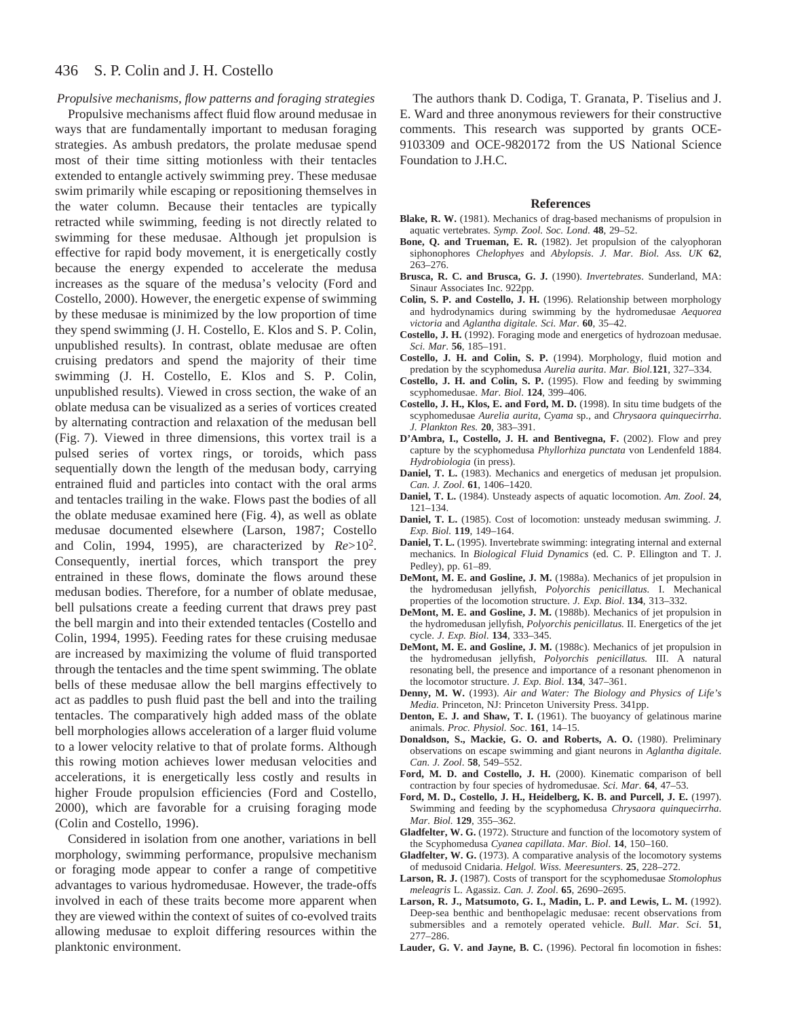#### 436 S. P. Colin and J. H. Costello

### *Propulsive mechanisms, flow patterns and foraging strategies*

Propulsive mechanisms affect fluid flow around medusae in ways that are fundamentally important to medusan foraging strategies. As ambush predators, the prolate medusae spend most of their time sitting motionless with their tentacles extended to entangle actively swimming prey. These medusae swim primarily while escaping or repositioning themselves in the water column. Because their tentacles are typically retracted while swimming, feeding is not directly related to swimming for these medusae. Although jet propulsion is effective for rapid body movement, it is energetically costly because the energy expended to accelerate the medusa increases as the square of the medusa's velocity (Ford and Costello, 2000). However, the energetic expense of swimming by these medusae is minimized by the low proportion of time they spend swimming (J. H. Costello, E. Klos and S. P. Colin, unpublished results). In contrast, oblate medusae are often cruising predators and spend the majority of their time swimming (J. H. Costello, E. Klos and S. P. Colin, unpublished results). Viewed in cross section, the wake of an oblate medusa can be visualized as a series of vortices created by alternating contraction and relaxation of the medusan bell (Fig. 7). Viewed in three dimensions, this vortex trail is a pulsed series of vortex rings, or toroids, which pass sequentially down the length of the medusan body, carrying entrained fluid and particles into contact with the oral arms and tentacles trailing in the wake. Flows past the bodies of all the oblate medusae examined here (Fig. 4), as well as oblate medusae documented elsewhere (Larson, 1987; Costello and Colin, 1994, 1995), are characterized by *Re*>102. Consequently, inertial forces, which transport the prey entrained in these flows, dominate the flows around these medusan bodies. Therefore, for a number of oblate medusae, bell pulsations create a feeding current that draws prey past the bell margin and into their extended tentacles (Costello and Colin, 1994, 1995). Feeding rates for these cruising medusae are increased by maximizing the volume of fluid transported through the tentacles and the time spent swimming. The oblate bells of these medusae allow the bell margins effectively to act as paddles to push fluid past the bell and into the trailing tentacles. The comparatively high added mass of the oblate bell morphologies allows acceleration of a larger fluid volume to a lower velocity relative to that of prolate forms. Although this rowing motion achieves lower medusan velocities and accelerations, it is energetically less costly and results in higher Froude propulsion efficiencies (Ford and Costello, 2000), which are favorable for a cruising foraging mode (Colin and Costello, 1996).

Considered in isolation from one another, variations in bell morphology, swimming performance, propulsive mechanism or foraging mode appear to confer a range of competitive advantages to various hydromedusae. However, the trade-offs involved in each of these traits become more apparent when they are viewed within the context of suites of co-evolved traits allowing medusae to exploit differing resources within the planktonic environment.

The authors thank D. Codiga, T. Granata, P. Tiselius and J. E. Ward and three anonymous reviewers for their constructive comments. This research was supported by grants OCE-9103309 and OCE-9820172 from the US National Science Foundation to J.H.C.

#### **References**

- **Blake, R. W.** (1981). Mechanics of drag-based mechanisms of propulsion in aquatic vertebrates. *Symp. Zool. Soc. Lond*. **48**, 29–52.
- **Bone, Q. and Trueman, E. R.** (1982). Jet propulsion of the calyophoran siphonophores *Chelophyes* and *Abylopsis*. *J. Mar. Biol. Ass. UK* **62**, 263–276.
- **Brusca, R. C. and Brusca, G. J.** (1990). *Invertebrates*. Sunderland, MA: Sinaur Associates Inc. 922pp.
- **Colin, S. P. and Costello, J. H.** (1996). Relationship between morphology and hydrodynamics during swimming by the hydromedusae *Aequorea victoria* and *Aglantha digitale. Sci. Mar*. **60**, 35–42.
- **Costello, J. H.** (1992). Foraging mode and energetics of hydrozoan medusae. *Sci. Mar*. **56**, 185–191.
- **Costello, J. H. and Colin, S. P.** (1994). Morphology, fluid motion and predation by the scyphomedusa *Aurelia aurita*. *Mar. Biol.***121**, 327–334.
- **Costello, J. H. and Colin, S. P.** (1995). Flow and feeding by swimming scyphomedusae. *Mar. Biol*. **124**, 399–406.
- **Costello, J. H., Klos, E. and Ford, M. D.** (1998). In situ time budgets of the scyphomedusae *Aurelia aurita*, *Cyama* sp., and *Chrysaora quinquecirrha*. *J. Plankton Res.* **20**, 383–391.
- **D'Ambra, I., Costello, J. H. and Bentivegna, F.** (2002). Flow and prey capture by the scyphomedusa *Phyllorhiza punctata* von Lendenfeld 1884. *Hydrobiologia* (in press).
- **Daniel, T. L.** (1983). Mechanics and energetics of medusan jet propulsion. *Can. J. Zool*. **61**, 1406–1420.
- **Daniel, T. L.** (1984). Unsteady aspects of aquatic locomotion. *Am. Zool*. **24**, 121–134.
- **Daniel, T. L.** (1985). Cost of locomotion: unsteady medusan swimming. *J. Exp. Biol.* **119**, 149–164.
- **Daniel, T. L.** (1995). Invertebrate swimming: integrating internal and external mechanics. In *Biological Fluid Dynamics* (ed. C. P. Ellington and T. J. Pedley), pp. 61–89.
- **DeMont, M. E. and Gosline, J. M.** (1988a). Mechanics of jet propulsion in the hydromedusan jellyfish, *Polyorchis penicillatus.* I. Mechanical properties of the locomotion structure. *J. Exp. Biol*. **134**, 313–332.
- **DeMont, M. E. and Gosline, J. M.** (1988b). Mechanics of jet propulsion in the hydromedusan jellyfish, *Polyorchis penicillatus.* II. Energetics of the jet cycle. *J. Exp. Biol*. **134**, 333–345.
- **DeMont, M. E. and Gosline, J. M.** (1988c). Mechanics of jet propulsion in the hydromedusan jellyfish, *Polyorchis penicillatus.* III. A natural resonating bell, the presence and importance of a resonant phenomenon in the locomotor structure. *J. Exp. Biol*. **134**, 347–361.
- **Denny, M. W.** (1993). *Air and Water: The Biology and Physics of Life's Media*. Princeton, NJ: Princeton University Press. 341pp.
- **Denton, E. J. and Shaw, T. I.** (1961). The buoyancy of gelatinous marine animals. *Proc. Physiol. Soc*. **161**, 14–15.
- **Donaldson, S., Mackie, G. O. and Roberts, A. O.** (1980). Preliminary observations on escape swimming and giant neurons in *Aglantha digitale*. *Can. J. Zool*. **58**, 549–552.
- **Ford, M. D. and Costello, J. H.** (2000). Kinematic comparison of bell contraction by four species of hydromedusae. *Sci. Mar*. **64**, 47–53.
- **Ford, M. D., Costello, J. H., Heidelberg, K. B. and Purcell, J. E.** (1997). Swimming and feeding by the scyphomedusa *Chrysaora quinquecirrha*. *Mar. Biol.* **129**, 355–362.
- **Gladfelter, W. G.** (1972). Structure and function of the locomotory system of the Scyphomedusa *Cyanea capillata*. *Mar. Biol*. **14**, 150–160.
- **Gladfelter, W. G.** (1973). A comparative analysis of the locomotory systems of medusoid Cnidaria. *Helgol. Wiss. Meeresunters*. **25**, 228–272.
- **Larson, R. J.** (1987). Costs of transport for the scyphomedusae *Stomolophus meleagris* L. Agassiz. *Can. J. Zool*. **65**, 2690–2695.
- **Larson, R. J., Matsumoto, G. I., Madin, L. P. and Lewis, L. M.** (1992). Deep-sea benthic and benthopelagic medusae: recent observations from submersibles and a remotely operated vehicle. *Bull. Mar. Sci*. **51**, 277–286.
- **Lauder, G. V. and Jayne, B. C.** (1996). Pectoral fin locomotion in fishes: